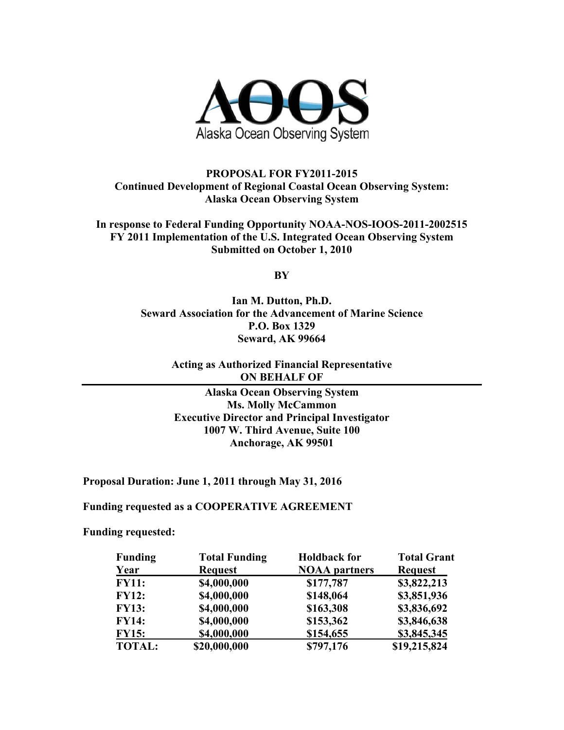

## **PROPOSAL FOR FY2011-2015 Continued Development of Regional Coastal Ocean Observing System: Alaska Ocean Observing System**

**In response to Federal Funding Opportunity NOAA-NOS-IOOS-2011-2002515 FY 2011 Implementation of the U.S. Integrated Ocean Observing System Submitted on October 1, 2010** 

**BY** 

**Ian M. Dutton, Ph.D. Seward Association for the Advancement of Marine Science P.O. Box 1329 Seward, AK 99664** 

> **Acting as Authorized Financial Representative ON BEHALF OF**

**Alaska Ocean Observing System Ms. Molly McCammon Executive Director and Principal Investigator 1007 W. Third Avenue, Suite 100 Anchorage, AK 99501** 

**Proposal Duration: June 1, 2011 through May 31, 2016** 

**Funding requested as a COOPERATIVE AGREEMENT** 

**Funding requested:** 

| <b>Funding</b> | <b>Total Funding</b> | <b>Holdback for</b>  | <b>Total Grant</b> |  |  |
|----------------|----------------------|----------------------|--------------------|--|--|
| Year           | <b>Request</b>       | <b>NOAA</b> partners | <b>Request</b>     |  |  |
| <b>FY11:</b>   | \$4,000,000          | \$177,787            | \$3,822,213        |  |  |
| <b>FY12:</b>   | \$4,000,000          | \$148,064            | \$3,851,936        |  |  |
| <b>FY13:</b>   | \$4,000,000          | \$163,308            | \$3,836,692        |  |  |
| <b>FY14:</b>   | \$4,000,000          | \$153,362            | \$3,846,638        |  |  |
| <b>FY15:</b>   | \$4,000,000          | \$154,655            | \$3,845,345        |  |  |
| <b>TOTAL:</b>  | \$20,000,000         | \$797,176            | \$19,215,824       |  |  |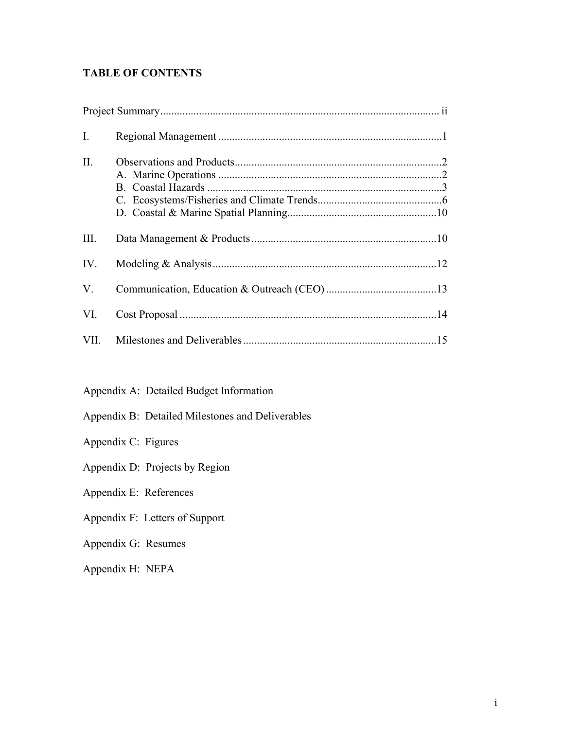# **TABLE OF CONTENTS**

| $\mathbf{I}$ . |  |
|----------------|--|
| II.            |  |
| III.           |  |
| IV.            |  |
| V.             |  |
| VI.            |  |
| VII.           |  |

Appendix A: Detailed Budget Information

- Appendix B: Detailed Milestones and Deliverables
- Appendix C: Figures
- Appendix D: Projects by Region

Appendix E: References

Appendix F: Letters of Support

Appendix G: Resumes

Appendix H: NEPA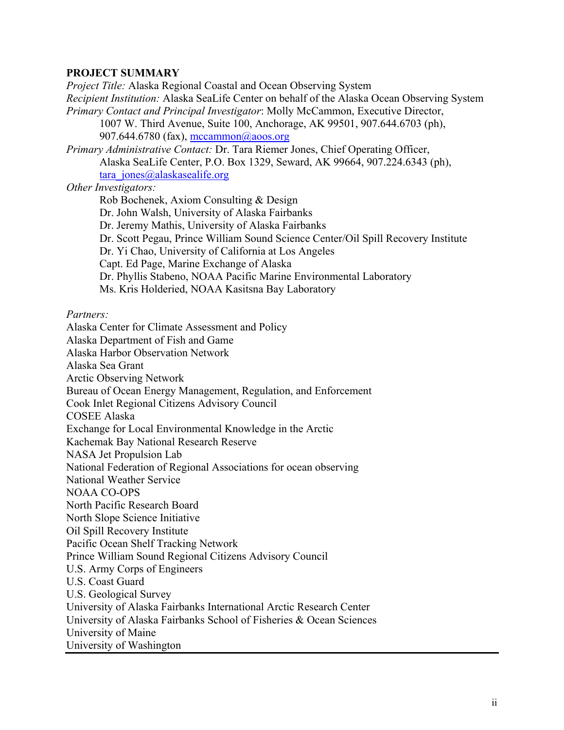## **PROJECT SUMMARY**

*Project Title:* Alaska Regional Coastal and Ocean Observing System *Recipient Institution:* Alaska SeaLife Center on behalf of the Alaska Ocean Observing System *Primary Contact and Principal Investigator*: Molly McCammon, Executive Director, 1007 W. Third Avenue, Suite 100, Anchorage, AK 99501, 907.644.6703 (ph), 907.644.6780 (fax), [mccammon@aoos.org](mailto:mccammon@aoos.org) *Primary Administrative Contact:* Dr. Tara Riemer Jones, Chief Operating Officer, Alaska SeaLife Center, P.O. Box 1329, Seward, AK 99664, 907.224.6343 (ph),  $\arctan$  jones@alaskasealife.org *Other Investigators:*  Rob Bochenek, Axiom Consulting & Design Dr. John Walsh, University of Alaska Fairbanks Dr. Jeremy Mathis, University of Alaska Fairbanks Dr. Scott Pegau, Prince William Sound Science Center/Oil Spill Recovery Institute Dr. Yi Chao, University of California at Los Angeles Capt. Ed Page, Marine Exchange of Alaska Dr. Phyllis Stabeno, NOAA Pacific Marine Environmental Laboratory Ms. Kris Holderied, NOAA Kasitsna Bay Laboratory

#### *Partners:*

Alaska Center for Climate Assessment and Policy Alaska Department of Fish and Game Alaska Harbor Observation Network Alaska Sea Grant Arctic Observing Network Bureau of Ocean Energy Management, Regulation, and Enforcement Cook Inlet Regional Citizens Advisory Council COSEE Alaska Exchange for Local Environmental Knowledge in the Arctic Kachemak Bay National Research Reserve NASA Jet Propulsion Lab National Federation of Regional Associations for ocean observing National Weather Service NOAA CO-OPS North Pacific Research Board North Slope Science Initiative Oil Spill Recovery Institute Pacific Ocean Shelf Tracking Network Prince William Sound Regional Citizens Advisory Council U.S. Army Corps of Engineers U.S. Coast Guard U.S. Geological Survey University of Alaska Fairbanks International Arctic Research Center University of Alaska Fairbanks School of Fisheries & Ocean Sciences University of Maine University of Washington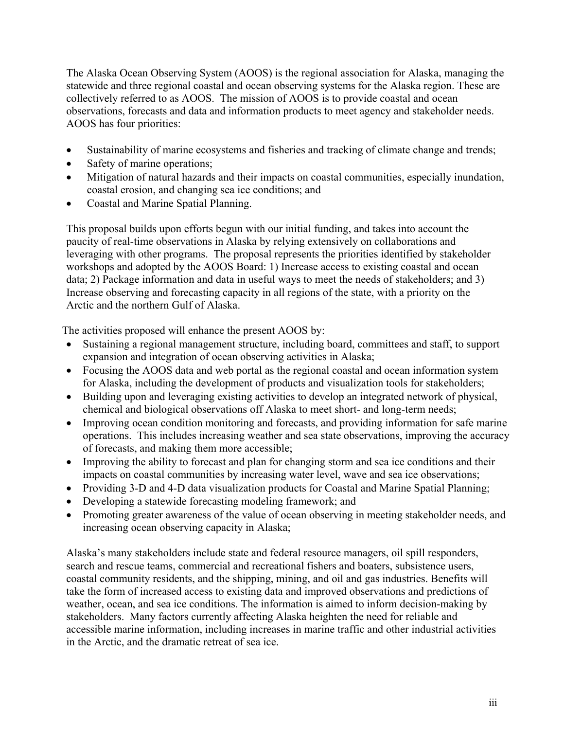The Alaska Ocean Observing System (AOOS) is the regional association for Alaska, managing the statewide and three regional coastal and ocean observing systems for the Alaska region. These are collectively referred to as AOOS. The mission of AOOS is to provide coastal and ocean observations, forecasts and data and information products to meet agency and stakeholder needs. AOOS has four priorities:

- Sustainability of marine ecosystems and fisheries and tracking of climate change and trends;
- Safety of marine operations;
- Mitigation of natural hazards and their impacts on coastal communities, especially inundation, coastal erosion, and changing sea ice conditions; and
- Coastal and Marine Spatial Planning.

This proposal builds upon efforts begun with our initial funding, and takes into account the paucity of real-time observations in Alaska by relying extensively on collaborations and leveraging with other programs. The proposal represents the priorities identified by stakeholder workshops and adopted by the AOOS Board: 1) Increase access to existing coastal and ocean data; 2) Package information and data in useful ways to meet the needs of stakeholders; and 3) Increase observing and forecasting capacity in all regions of the state, with a priority on the Arctic and the northern Gulf of Alaska.

The activities proposed will enhance the present AOOS by:

- Sustaining a regional management structure, including board, committees and staff, to support expansion and integration of ocean observing activities in Alaska;
- Focusing the AOOS data and web portal as the regional coastal and ocean information system for Alaska, including the development of products and visualization tools for stakeholders;
- Building upon and leveraging existing activities to develop an integrated network of physical, chemical and biological observations off Alaska to meet short- and long-term needs;
- Improving ocean condition monitoring and forecasts, and providing information for safe marine operations. This includes increasing weather and sea state observations, improving the accuracy of forecasts, and making them more accessible;
- Improving the ability to forecast and plan for changing storm and sea ice conditions and their impacts on coastal communities by increasing water level, wave and sea ice observations;
- Providing 3-D and 4-D data visualization products for Coastal and Marine Spatial Planning;
- Developing a statewide forecasting modeling framework; and
- Promoting greater awareness of the value of ocean observing in meeting stakeholder needs, and increasing ocean observing capacity in Alaska;

Alaska's many stakeholders include state and federal resource managers, oil spill responders, search and rescue teams, commercial and recreational fishers and boaters, subsistence users, coastal community residents, and the shipping, mining, and oil and gas industries. Benefits will take the form of increased access to existing data and improved observations and predictions of weather, ocean, and sea ice conditions. The information is aimed to inform decision-making by stakeholders. Many factors currently affecting Alaska heighten the need for reliable and accessible marine information, including increases in marine traffic and other industrial activities in the Arctic, and the dramatic retreat of sea ice.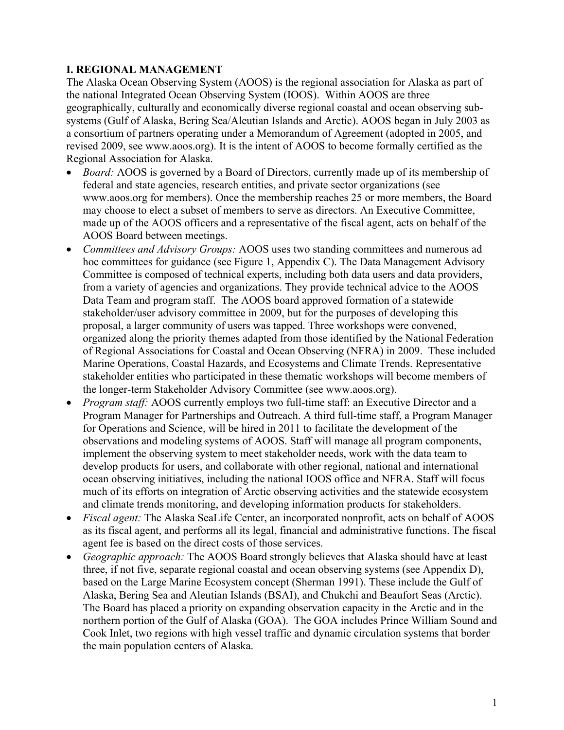# **I. REGIONAL MANAGEMENT**

The Alaska Ocean Observing System (AOOS) is the regional association for Alaska as part of the national Integrated Ocean Observing System (IOOS). Within AOOS are three geographically, culturally and economically diverse regional coastal and ocean observing subsystems (Gulf of Alaska, Bering Sea/Aleutian Islands and Arctic). AOOS began in July 2003 as a consortium of partners operating under a Memorandum of Agreement (adopted in 2005, and revised 2009, see www.aoos.org). It is the intent of AOOS to become formally certified as the Regional Association for Alaska.

- *Board:* AOOS is governed by a Board of Directors, currently made up of its membership of federal and state agencies, research entities, and private sector organizations (see www.aoos.org for members). Once the membership reaches 25 or more members, the Board may choose to elect a subset of members to serve as directors. An Executive Committee, made up of the AOOS officers and a representative of the fiscal agent, acts on behalf of the AOOS Board between meetings.
- *Committees and Advisory Groups:* AOOS uses two standing committees and numerous ad hoc committees for guidance (see Figure 1, Appendix C). The Data Management Advisory Committee is composed of technical experts, including both data users and data providers, from a variety of agencies and organizations. They provide technical advice to the AOOS Data Team and program staff. The AOOS board approved formation of a statewide stakeholder/user advisory committee in 2009, but for the purposes of developing this proposal, a larger community of users was tapped. Three workshops were convened, organized along the priority themes adapted from those identified by the National Federation of Regional Associations for Coastal and Ocean Observing (NFRA) in 2009. These included Marine Operations, Coastal Hazards, and Ecosystems and Climate Trends. Representative stakeholder entities who participated in these thematic workshops will become members of the longer-term Stakeholder Advisory Committee (see www.aoos.org).
- *Program staff:* AOOS currently employs two full-time staff: an Executive Director and a Program Manager for Partnerships and Outreach. A third full-time staff, a Program Manager for Operations and Science, will be hired in 2011 to facilitate the development of the observations and modeling systems of AOOS. Staff will manage all program components, implement the observing system to meet stakeholder needs, work with the data team to develop products for users, and collaborate with other regional, national and international ocean observing initiatives, including the national IOOS office and NFRA. Staff will focus much of its efforts on integration of Arctic observing activities and the statewide ecosystem and climate trends monitoring, and developing information products for stakeholders.
- *Fiscal agent:* The Alaska SeaLife Center, an incorporated nonprofit, acts on behalf of AOOS as its fiscal agent, and performs all its legal, financial and administrative functions. The fiscal agent fee is based on the direct costs of those services.
- x *Geographic approach:* The AOOS Board strongly believes that Alaska should have at least three, if not five, separate regional coastal and ocean observing systems (see Appendix D), based on the Large Marine Ecosystem concept (Sherman 1991). These include the Gulf of Alaska, Bering Sea and Aleutian Islands (BSAI), and Chukchi and Beaufort Seas (Arctic). The Board has placed a priority on expanding observation capacity in the Arctic and in the northern portion of the Gulf of Alaska (GOA). The GOA includes Prince William Sound and Cook Inlet, two regions with high vessel traffic and dynamic circulation systems that border the main population centers of Alaska.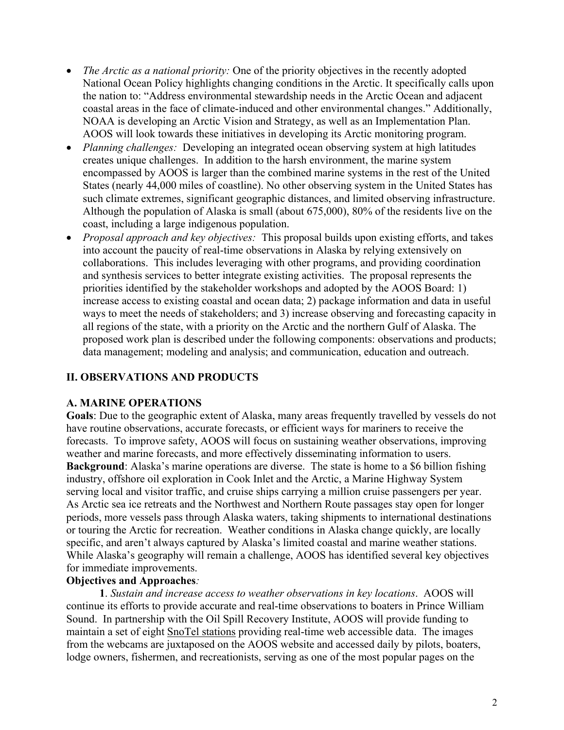- *The Arctic as a national priority:* One of the priority objectives in the recently adopted National Ocean Policy highlights changing conditions in the Arctic. It specifically calls upon the nation to: "Address environmental stewardship needs in the Arctic Ocean and adjacent coastal areas in the face of climate-induced and other environmental changes." Additionally, NOAA is developing an Arctic Vision and Strategy, as well as an Implementation Plan. AOOS will look towards these initiatives in developing its Arctic monitoring program.
- *Planning challenges:* Developing an integrated ocean observing system at high latitudes creates unique challenges. In addition to the harsh environment, the marine system encompassed by AOOS is larger than the combined marine systems in the rest of the United States (nearly 44,000 miles of coastline). No other observing system in the United States has such climate extremes, significant geographic distances, and limited observing infrastructure. Although the population of Alaska is small (about 675,000), 80% of the residents live on the coast, including a large indigenous population.
- x *Proposal approach and key objectives:* This proposal builds upon existing efforts, and takes into account the paucity of real-time observations in Alaska by relying extensively on collaborations. This includes leveraging with other programs, and providing coordination and synthesis services to better integrate existing activities. The proposal represents the priorities identified by the stakeholder workshops and adopted by the AOOS Board: 1) increase access to existing coastal and ocean data; 2) package information and data in useful ways to meet the needs of stakeholders; and 3) increase observing and forecasting capacity in all regions of the state, with a priority on the Arctic and the northern Gulf of Alaska. The proposed work plan is described under the following components: observations and products; data management; modeling and analysis; and communication, education and outreach.

# **II. OBSERVATIONS AND PRODUCTS**

## **A. MARINE OPERATIONS**

**Goals**: Due to the geographic extent of Alaska, many areas frequently travelled by vessels do not have routine observations, accurate forecasts, or efficient ways for mariners to receive the forecasts. To improve safety, AOOS will focus on sustaining weather observations, improving weather and marine forecasts, and more effectively disseminating information to users. **Background**: Alaska's marine operations are diverse. The state is home to a \$6 billion fishing industry, offshore oil exploration in Cook Inlet and the Arctic, a Marine Highway System serving local and visitor traffic, and cruise ships carrying a million cruise passengers per year. As Arctic sea ice retreats and the Northwest and Northern Route passages stay open for longer periods, more vessels pass through Alaska waters, taking shipments to international destinations or touring the Arctic for recreation. Weather conditions in Alaska change quickly, are locally specific, and aren't always captured by Alaska's limited coastal and marine weather stations. While Alaska's geography will remain a challenge, AOOS has identified several key objectives for immediate improvements.

## **Objectives and Approaches***:*

**1**. *Sustain and increase access to weather observations in key locations*. AOOS will continue its efforts to provide accurate and real-time observations to boaters in Prince William Sound. In partnership with the Oil Spill Recovery Institute, AOOS will provide funding to maintain a set of eight SnoTel stations providing real-time web accessible data. The images from the webcams are juxtaposed on the AOOS website and accessed daily by pilots, boaters, lodge owners, fishermen, and recreationists, serving as one of the most popular pages on the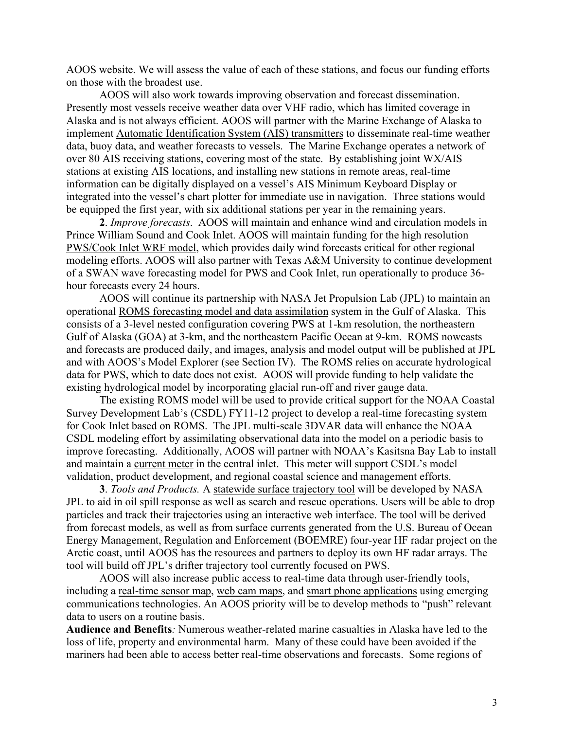AOOS website. We will assess the value of each of these stations, and focus our funding efforts on those with the broadest use.

AOOS will also work towards improving observation and forecast dissemination. Presently most vessels receive weather data over VHF radio, which has limited coverage in Alaska and is not always efficient. AOOS will partner with the Marine Exchange of Alaska to implement Automatic Identification System (AIS) transmitters to disseminate real-time weather data, buoy data, and weather forecasts to vessels. The Marine Exchange operates a network of over 80 AIS receiving stations, covering most of the state. By establishing joint WX/AIS stations at existing AIS locations, and installing new stations in remote areas, real-time information can be digitally displayed on a vessel's AIS Minimum Keyboard Display or integrated into the vessel's chart plotter for immediate use in navigation. Three stations would be equipped the first year, with six additional stations per year in the remaining years.

**2**. *Improve forecasts*. AOOS will maintain and enhance wind and circulation models in Prince William Sound and Cook Inlet. AOOS will maintain funding for the high resolution PWS/Cook Inlet WRF model, which provides daily wind forecasts critical for other regional modeling efforts. AOOS will also partner with Texas A&M University to continue development of a SWAN wave forecasting model for PWS and Cook Inlet, run operationally to produce 36 hour forecasts every 24 hours.

AOOS will continue its partnership with NASA Jet Propulsion Lab (JPL) to maintain an operational ROMS forecasting model and data assimilation system in the Gulf of Alaska. This consists of a 3-level nested configuration covering PWS at 1-km resolution, the northeastern Gulf of Alaska (GOA) at 3-km, and the northeastern Pacific Ocean at 9-km. ROMS nowcasts and forecasts are produced daily, and images, analysis and model output will be published at JPL and with AOOS's Model Explorer (see Section IV). The ROMS relies on accurate hydrological data for PWS, which to date does not exist. AOOS will provide funding to help validate the existing hydrological model by incorporating glacial run-off and river gauge data.

The existing ROMS model will be used to provide critical support for the NOAA Coastal Survey Development Lab's (CSDL) FY11-12 project to develop a real-time forecasting system for Cook Inlet based on ROMS. The JPL multi-scale 3DVAR data will enhance the NOAA CSDL modeling effort by assimilating observational data into the model on a periodic basis to improve forecasting. Additionally, AOOS will partner with NOAA's Kasitsna Bay Lab to install and maintain a current meter in the central inlet. This meter will support CSDL's model validation, product development, and regional coastal science and management efforts.

**3**. *Tools and Products.* A statewide surface trajectory tool will be developed by NASA JPL to aid in oil spill response as well as search and rescue operations. Users will be able to drop particles and track their trajectories using an interactive web interface. The tool will be derived from forecast models, as well as from surface currents generated from the U.S. Bureau of Ocean Energy Management, Regulation and Enforcement (BOEMRE) four-year HF radar project on the Arctic coast, until AOOS has the resources and partners to deploy its own HF radar arrays. The tool will build off JPL's drifter trajectory tool currently focused on PWS.

AOOS will also increase public access to real-time data through user-friendly tools, including a real-time sensor map, web cam maps, and smart phone applications using emerging communications technologies. An AOOS priority will be to develop methods to "push" relevant data to users on a routine basis.

**Audience and Benefits***:* Numerous weather-related marine casualties in Alaska have led to the loss of life, property and environmental harm. Many of these could have been avoided if the mariners had been able to access better real-time observations and forecasts. Some regions of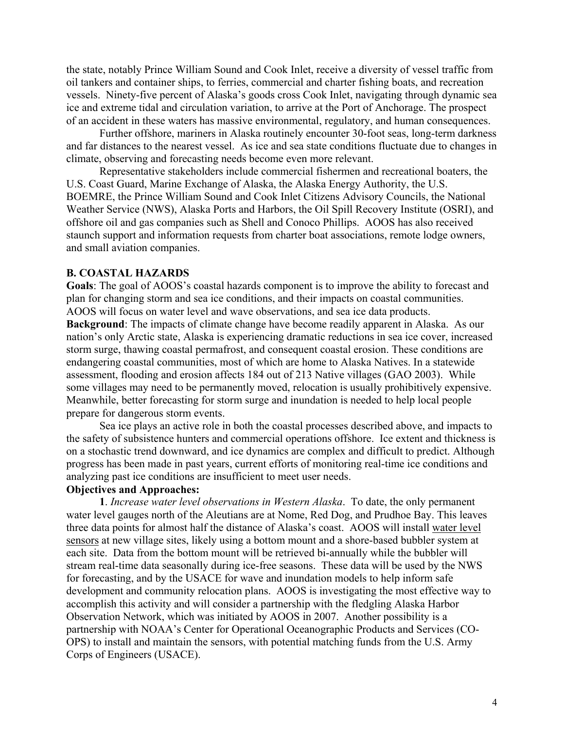the state, notably Prince William Sound and Cook Inlet, receive a diversity of vessel traffic from oil tankers and container ships, to ferries, commercial and charter fishing boats, and recreation vessels. Ninety-five percent of Alaska's goods cross Cook Inlet, navigating through dynamic sea ice and extreme tidal and circulation variation, to arrive at the Port of Anchorage. The prospect of an accident in these waters has massive environmental, regulatory, and human consequences.

Further offshore, mariners in Alaska routinely encounter 30-foot seas, long-term darkness and far distances to the nearest vessel. As ice and sea state conditions fluctuate due to changes in climate, observing and forecasting needs become even more relevant.

Representative stakeholders include commercial fishermen and recreational boaters, the U.S. Coast Guard, Marine Exchange of Alaska, the Alaska Energy Authority, the U.S. BOEMRE, the Prince William Sound and Cook Inlet Citizens Advisory Councils, the National Weather Service (NWS), Alaska Ports and Harbors, the Oil Spill Recovery Institute (OSRI), and offshore oil and gas companies such as Shell and Conoco Phillips. AOOS has also received staunch support and information requests from charter boat associations, remote lodge owners, and small aviation companies.

#### **B. COASTAL HAZARDS**

**Goals**: The goal of AOOS's coastal hazards component is to improve the ability to forecast and plan for changing storm and sea ice conditions, and their impacts on coastal communities. AOOS will focus on water level and wave observations, and sea ice data products. **Background**: The impacts of climate change have become readily apparent in Alaska. As our nation's only Arctic state, Alaska is experiencing dramatic reductions in sea ice cover, increased storm surge, thawing coastal permafrost, and consequent coastal erosion. These conditions are endangering coastal communities, most of which are home to Alaska Natives. In a statewide assessment, flooding and erosion affects 184 out of 213 Native villages (GAO 2003). While some villages may need to be permanently moved, relocation is usually prohibitively expensive. Meanwhile, better forecasting for storm surge and inundation is needed to help local people prepare for dangerous storm events.

Sea ice plays an active role in both the coastal processes described above, and impacts to the safety of subsistence hunters and commercial operations offshore. Ice extent and thickness is on a stochastic trend downward, and ice dynamics are complex and difficult to predict. Although progress has been made in past years, current efforts of monitoring real-time ice conditions and analyzing past ice conditions are insufficient to meet user needs.

# **Objectives and Approaches:**

**1**. *Increase water level observations in Western Alaska*. To date, the only permanent water level gauges north of the Aleutians are at Nome, Red Dog, and Prudhoe Bay. This leaves three data points for almost half the distance of Alaska's coast. AOOS will install water level sensors at new village sites, likely using a bottom mount and a shore-based bubbler system at each site. Data from the bottom mount will be retrieved bi-annually while the bubbler will stream real-time data seasonally during ice-free seasons. These data will be used by the NWS for forecasting, and by the USACE for wave and inundation models to help inform safe development and community relocation plans. AOOS is investigating the most effective way to accomplish this activity and will consider a partnership with the fledgling Alaska Harbor Observation Network, which was initiated by AOOS in 2007. Another possibility is a partnership with NOAA's Center for Operational Oceanographic Products and Services (CO-OPS) to install and maintain the sensors, with potential matching funds from the U.S. Army Corps of Engineers (USACE).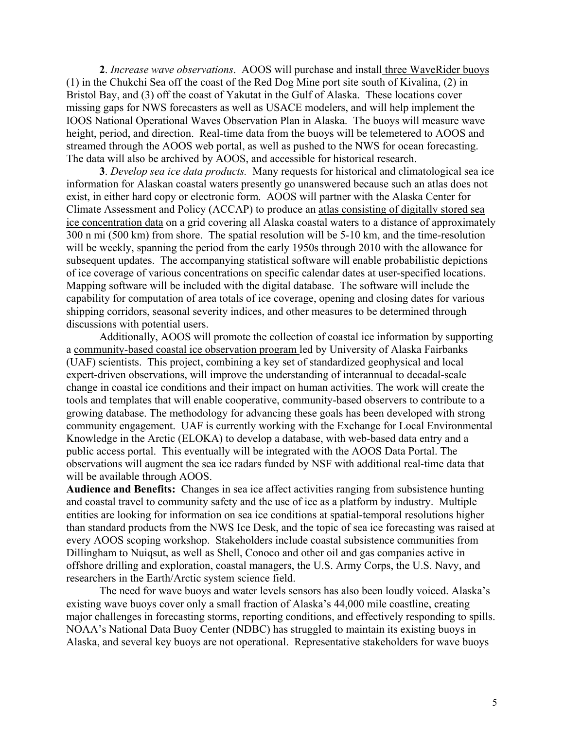**2**. *Increase wave observations*. AOOS will purchase and install three WaveRider buoys (1) in the Chukchi Sea off the coast of the Red Dog Mine port site south of Kivalina, (2) in Bristol Bay, and (3) off the coast of Yakutat in the Gulf of Alaska. These locations cover missing gaps for NWS forecasters as well as USACE modelers, and will help implement the IOOS National Operational Waves Observation Plan in Alaska. The buoys will measure wave height, period, and direction. Real-time data from the buoys will be telemetered to AOOS and streamed through the AOOS web portal, as well as pushed to the NWS for ocean forecasting. The data will also be archived by AOOS, and accessible for historical research.

**3**. *Develop sea ice data products.* Many requests for historical and climatological sea ice information for Alaskan coastal waters presently go unanswered because such an atlas does not exist, in either hard copy or electronic form. AOOS will partner with the Alaska Center for Climate Assessment and Policy (ACCAP) to produce an atlas consisting of digitally stored sea ice concentration data on a grid covering all Alaska coastal waters to a distance of approximately 300 n mi (500 km) from shore. The spatial resolution will be 5-10 km, and the time-resolution will be weekly, spanning the period from the early 1950s through 2010 with the allowance for subsequent updates. The accompanying statistical software will enable probabilistic depictions of ice coverage of various concentrations on specific calendar dates at user-specified locations. Mapping software will be included with the digital database. The software will include the capability for computation of area totals of ice coverage, opening and closing dates for various shipping corridors, seasonal severity indices, and other measures to be determined through discussions with potential users.

Additionally, AOOS will promote the collection of coastal ice information by supporting a community-based coastal ice observation program led by University of Alaska Fairbanks (UAF) scientists. This project, combining a key set of standardized geophysical and local expert-driven observations, will improve the understanding of interannual to decadal-scale change in coastal ice conditions and their impact on human activities. The work will create the tools and templates that will enable cooperative, community-based observers to contribute to a growing database. The methodology for advancing these goals has been developed with strong community engagement. UAF is currently working with the Exchange for Local Environmental Knowledge in the Arctic (ELOKA) to develop a database, with web-based data entry and a public access portal. This eventually will be integrated with the AOOS Data Portal. The observations will augment the sea ice radars funded by NSF with additional real-time data that will be available through AOOS.

**Audience and Benefits:** Changes in sea ice affect activities ranging from subsistence hunting and coastal travel to community safety and the use of ice as a platform by industry. Multiple entities are looking for information on sea ice conditions at spatial-temporal resolutions higher than standard products from the NWS Ice Desk, and the topic of sea ice forecasting was raised at every AOOS scoping workshop. Stakeholders include coastal subsistence communities from Dillingham to Nuiqsut, as well as Shell, Conoco and other oil and gas companies active in offshore drilling and exploration, coastal managers, the U.S. Army Corps, the U.S. Navy, and researchers in the Earth/Arctic system science field.

The need for wave buoys and water levels sensors has also been loudly voiced. Alaska's existing wave buoys cover only a small fraction of Alaska's 44,000 mile coastline, creating major challenges in forecasting storms, reporting conditions, and effectively responding to spills. NOAA's National Data Buoy Center (NDBC) has struggled to maintain its existing buoys in Alaska, and several key buoys are not operational. Representative stakeholders for wave buoys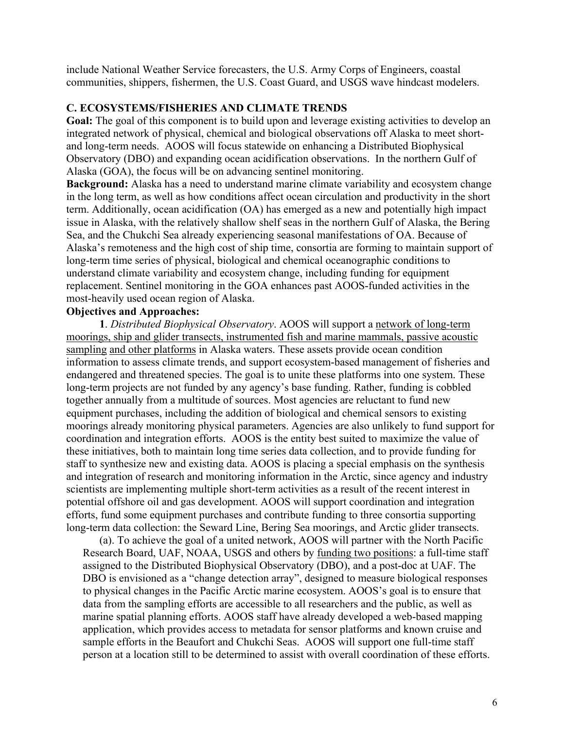include National Weather Service forecasters, the U.S. Army Corps of Engineers, coastal communities, shippers, fishermen, the U.S. Coast Guard, and USGS wave hindcast modelers.

## **C. ECOSYSTEMS/FISHERIES AND CLIMATE TRENDS**

**Goal:** The goal of this component is to build upon and leverage existing activities to develop an integrated network of physical, chemical and biological observations off Alaska to meet shortand long-term needs. AOOS will focus statewide on enhancing a Distributed Biophysical Observatory (DBO) and expanding ocean acidification observations. In the northern Gulf of Alaska (GOA), the focus will be on advancing sentinel monitoring.

**Background:** Alaska has a need to understand marine climate variability and ecosystem change in the long term, as well as how conditions affect ocean circulation and productivity in the short term. Additionally, ocean acidification (OA) has emerged as a new and potentially high impact issue in Alaska, with the relatively shallow shelf seas in the northern Gulf of Alaska, the Bering Sea, and the Chukchi Sea already experiencing seasonal manifestations of OA. Because of Alaska's remoteness and the high cost of ship time, consortia are forming to maintain support of long-term time series of physical, biological and chemical oceanographic conditions to understand climate variability and ecosystem change, including funding for equipment replacement. Sentinel monitoring in the GOA enhances past AOOS-funded activities in the most-heavily used ocean region of Alaska.

## **Objectives and Approaches:**

**1**. *Distributed Biophysical Observatory*. AOOS will support a network of long-term moorings, ship and glider transects, instrumented fish and marine mammals, passive acoustic sampling and other platforms in Alaska waters. These assets provide ocean condition information to assess climate trends, and support ecosystem-based management of fisheries and endangered and threatened species. The goal is to unite these platforms into one system. These long-term projects are not funded by any agency's base funding. Rather, funding is cobbled together annually from a multitude of sources. Most agencies are reluctant to fund new equipment purchases, including the addition of biological and chemical sensors to existing moorings already monitoring physical parameters. Agencies are also unlikely to fund support for coordination and integration efforts. AOOS is the entity best suited to maximize the value of these initiatives, both to maintain long time series data collection, and to provide funding for staff to synthesize new and existing data. AOOS is placing a special emphasis on the synthesis and integration of research and monitoring information in the Arctic, since agency and industry scientists are implementing multiple short-term activities as a result of the recent interest in potential offshore oil and gas development. AOOS will support coordination and integration efforts, fund some equipment purchases and contribute funding to three consortia supporting long-term data collection: the Seward Line, Bering Sea moorings, and Arctic glider transects.

(a). To achieve the goal of a united network, AOOS will partner with the North Pacific Research Board, UAF, NOAA, USGS and others by funding two positions: a full-time staff assigned to the Distributed Biophysical Observatory (DBO), and a post-doc at UAF. The DBO is envisioned as a "change detection array", designed to measure biological responses to physical changes in the Pacific Arctic marine ecosystem. AOOS's goal is to ensure that data from the sampling efforts are accessible to all researchers and the public, as well as marine spatial planning efforts. AOOS staff have already developed a web-based mapping application, which provides access to metadata for sensor platforms and known cruise and sample efforts in the Beaufort and Chukchi Seas. AOOS will support one full-time staff person at a location still to be determined to assist with overall coordination of these efforts.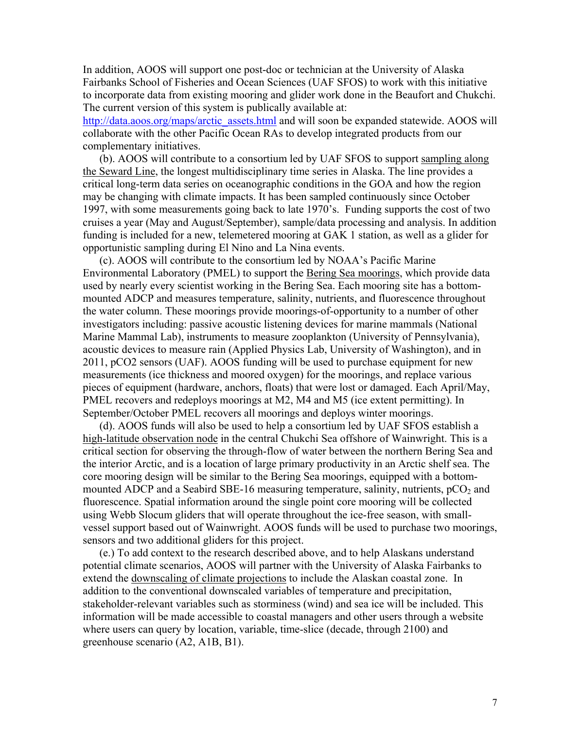In addition, AOOS will support one post-doc or technician at the University of Alaska Fairbanks School of Fisheries and Ocean Sciences (UAF SFOS) to work with this initiative to incorporate data from existing mooring and glider work done in the Beaufort and Chukchi. The current version of this system is publically available at:

[http://data.aoos.org/maps/arctic\\_assets.html](http://data.aoos.org/maps/arctic_assets.html) and will soon be expanded statewide. AOOS will collaborate with the other Pacific Ocean RAs to develop integrated products from our complementary initiatives.

(b). AOOS will contribute to a consortium led by UAF SFOS to support sampling along the Seward Line, the longest multidisciplinary time series in Alaska. The line provides a critical long-term data series on oceanographic conditions in the GOA and how the region may be changing with climate impacts. It has been sampled continuously since October 1997, with some measurements going back to late 1970's. Funding supports the cost of two cruises a year (May and August/September), sample/data processing and analysis. In addition funding is included for a new, telemetered mooring at GAK 1 station, as well as a glider for opportunistic sampling during El Nino and La Nina events.

(c). AOOS will contribute to the consortium led by NOAA's Pacific Marine Environmental Laboratory (PMEL) to support the Bering Sea moorings, which provide data used by nearly every scientist working in the Bering Sea. Each mooring site has a bottommounted ADCP and measures temperature, salinity, nutrients, and fluorescence throughout the water column. These moorings provide moorings-of-opportunity to a number of other investigators including: passive acoustic listening devices for marine mammals (National Marine Mammal Lab), instruments to measure zooplankton (University of Pennsylvania), acoustic devices to measure rain (Applied Physics Lab, University of Washington), and in 2011, pCO2 sensors (UAF). AOOS funding will be used to purchase equipment for new measurements (ice thickness and moored oxygen) for the moorings, and replace various pieces of equipment (hardware, anchors, floats) that were lost or damaged. Each April/May, PMEL recovers and redeploys moorings at M2, M4 and M5 (ice extent permitting). In September/October PMEL recovers all moorings and deploys winter moorings.

(d). AOOS funds will also be used to help a consortium led by UAF SFOS establish a high-latitude observation node in the central Chukchi Sea offshore of Wainwright. This is a critical section for observing the through-flow of water between the northern Bering Sea and the interior Arctic, and is a location of large primary productivity in an Arctic shelf sea. The core mooring design will be similar to the Bering Sea moorings, equipped with a bottommounted ADCP and a Seabird SBE-16 measuring temperature, salinity, nutrients,  $pCO<sub>2</sub>$  and fluorescence. Spatial information around the single point core mooring will be collected using Webb Slocum gliders that will operate throughout the ice-free season, with smallvessel support based out of Wainwright. AOOS funds will be used to purchase two moorings, sensors and two additional gliders for this project.

(e.) To add context to the research described above, and to help Alaskans understand potential climate scenarios, AOOS will partner with the University of Alaska Fairbanks to extend the downscaling of climate projections to include the Alaskan coastal zone. In addition to the conventional downscaled variables of temperature and precipitation, stakeholder-relevant variables such as storminess (wind) and sea ice will be included. This information will be made accessible to coastal managers and other users through a website where users can query by location, variable, time-slice (decade, through 2100) and greenhouse scenario (A2, A1B, B1).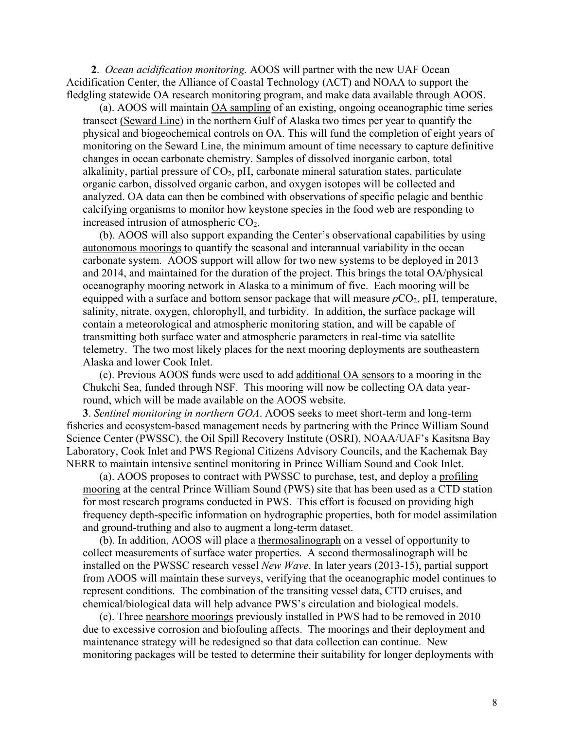**2**. *Ocean acidification monitoring.* AOOS will partner with the new UAF Ocean Acidification Center, the Alliance of Coastal Technology (ACT) and NOAA to support the fledgling statewide OA research monitoring program, and make data available through AOOS.

(a). AOOS will maintain OA sampling of an existing, ongoing oceanographic time series transect (Seward Line) in the northern Gulf of Alaska two times per year to quantify the physical and biogeochemical controls on OA. This will fund the completion of eight years of monitoring on the Seward Line, the minimum amount of time necessary to capture definitive changes in ocean carbonate chemistry. Samples of dissolved inorganic carbon, total alkalinity, partial pressure of  $CO<sub>2</sub>$ , pH, carbonate mineral saturation states, particulate organic carbon, dissolved organic carbon, and oxygen isotopes will be collected and analyzed. OA data can then be combined with observations of specific pelagic and benthic calcifying organisms to monitor how keystone species in the food web are responding to increased intrusion of atmospheric  $CO<sub>2</sub>$ .

(b). AOOS will also support expanding the Center's observational capabilities by using autonomous moorings to quantify the seasonal and interannual variability in the ocean carbonate system. AOOS support will allow for two new systems to be deployed in 2013 and 2014, and maintained for the duration of the project. This brings the total OA/physical oceanography mooring network in Alaska to a minimum of five. Each mooring will be equipped with a surface and bottom sensor package that will measure  $pCO_2$ , pH, temperature, salinity, nitrate, oxygen, chlorophyll, and turbidity. In addition, the surface package will contain a meteorological and atmospheric monitoring station, and will be capable of transmitting both surface water and atmospheric parameters in real-time via satellite telemetry. The two most likely places for the next mooring deployments are southeastern Alaska and lower Cook Inlet.

(c). Previous AOOS funds were used to add additional OA sensors to a mooring in the Chukchi Sea, funded through NSF. This mooring will now be collecting OA data yearround, which will be made available on the AOOS website.

**3**. *Sentinel monitoring in northern GOA*. AOOS seeks to meet short-term and long-term fisheries and ecosystem-based management needs by partnering with the Prince William Sound Science Center (PWSSC), the Oil Spill Recovery Institute (OSRI), NOAA/UAF's Kasitsna Bay Laboratory, Cook Inlet and PWS Regional Citizens Advisory Councils, and the Kachemak Bay NERR to maintain intensive sentinel monitoring in Prince William Sound and Cook Inlet.

(a). AOOS proposes to contract with PWSSC to purchase, test, and deploy a profiling mooring at the central Prince William Sound (PWS) site that has been used as a CTD station for most research programs conducted in PWS. This effort is focused on providing high frequency depth-specific information on hydrographic properties, both for model assimilation and ground-truthing and also to augment a long-term dataset.

(b). In addition, AOOS will place a thermosalinograph on a vessel of opportunity to collect measurements of surface water properties. A second thermosalinograph will be installed on the PWSSC research vessel *New Wave*. In later years (2013-15), partial support from AOOS will maintain these surveys, verifying that the oceanographic model continues to represent conditions. The combination of the transiting vessel data, CTD cruises, and chemical/biological data will help advance PWS's circulation and biological models.

(c). Three nearshore moorings previously installed in PWS had to be removed in 2010 due to excessive corrosion and biofouling affects. The moorings and their deployment and maintenance strategy will be redesigned so that data collection can continue. New monitoring packages will be tested to determine their suitability for longer deployments with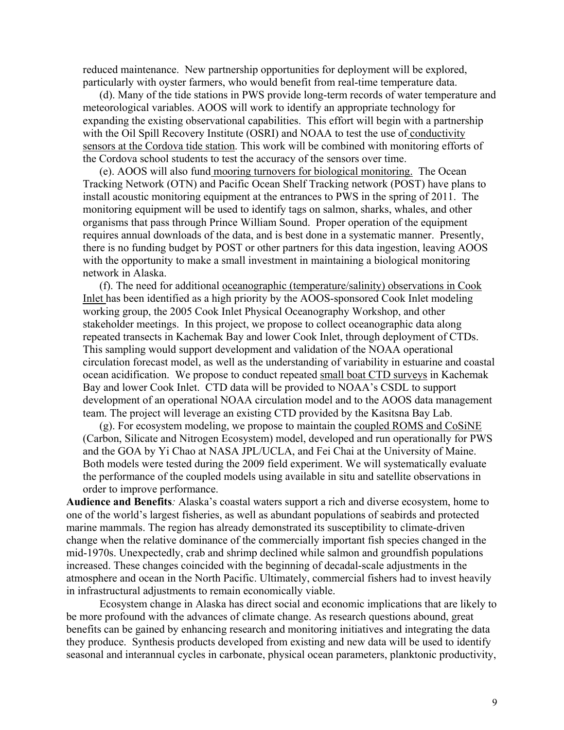reduced maintenance. New partnership opportunities for deployment will be explored, particularly with oyster farmers, who would benefit from real-time temperature data.

(d). Many of the tide stations in PWS provide long-term records of water temperature and meteorological variables. AOOS will work to identify an appropriate technology for expanding the existing observational capabilities. This effort will begin with a partnership with the Oil Spill Recovery Institute (OSRI) and NOAA to test the use of conductivity sensors at the Cordova tide station. This work will be combined with monitoring efforts of the Cordova school students to test the accuracy of the sensors over time.

(e). AOOS will also fund mooring turnovers for biological monitoring. The Ocean Tracking Network (OTN) and Pacific Ocean Shelf Tracking network (POST) have plans to install acoustic monitoring equipment at the entrances to PWS in the spring of 2011. The monitoring equipment will be used to identify tags on salmon, sharks, whales, and other organisms that pass through Prince William Sound. Proper operation of the equipment requires annual downloads of the data, and is best done in a systematic manner. Presently, there is no funding budget by POST or other partners for this data ingestion, leaving AOOS with the opportunity to make a small investment in maintaining a biological monitoring network in Alaska.

(f). The need for additional oceanographic (temperature/salinity) observations in Cook Inlet has been identified as a high priority by the AOOS-sponsored Cook Inlet modeling working group, the 2005 Cook Inlet Physical Oceanography Workshop, and other stakeholder meetings. In this project, we propose to collect oceanographic data along repeated transects in Kachemak Bay and lower Cook Inlet, through deployment of CTDs. This sampling would support development and validation of the NOAA operational circulation forecast model, as well as the understanding of variability in estuarine and coastal ocean acidification. We propose to conduct repeated small boat CTD surveys in Kachemak Bay and lower Cook Inlet. CTD data will be provided to NOAA's CSDL to support development of an operational NOAA circulation model and to the AOOS data management team. The project will leverage an existing CTD provided by the Kasitsna Bay Lab.

(g). For ecosystem modeling, we propose to maintain the coupled ROMS and CoSiNE (Carbon, Silicate and Nitrogen Ecosystem) model, developed and run operationally for PWS and the GOA by Yi Chao at NASA JPL/UCLA, and Fei Chai at the University of Maine. Both models were tested during the 2009 field experiment. We will systematically evaluate the performance of the coupled models using available in situ and satellite observations in order to improve performance.

**Audience and Benefits***:* Alaska's coastal waters support a rich and diverse ecosystem, home to one of the world's largest fisheries, as well as abundant populations of seabirds and protected marine mammals. The region has already demonstrated its susceptibility to climate-driven change when the relative dominance of the commercially important fish species changed in the mid-1970s. Unexpectedly, crab and shrimp declined while salmon and groundfish populations increased. These changes coincided with the beginning of decadal-scale adjustments in the atmosphere and ocean in the North Pacific. Ultimately, commercial fishers had to invest heavily in infrastructural adjustments to remain economically viable.

Ecosystem change in Alaska has direct social and economic implications that are likely to be more profound with the advances of climate change. As research questions abound, great benefits can be gained by enhancing research and monitoring initiatives and integrating the data they produce. Synthesis products developed from existing and new data will be used to identify seasonal and interannual cycles in carbonate, physical ocean parameters, planktonic productivity,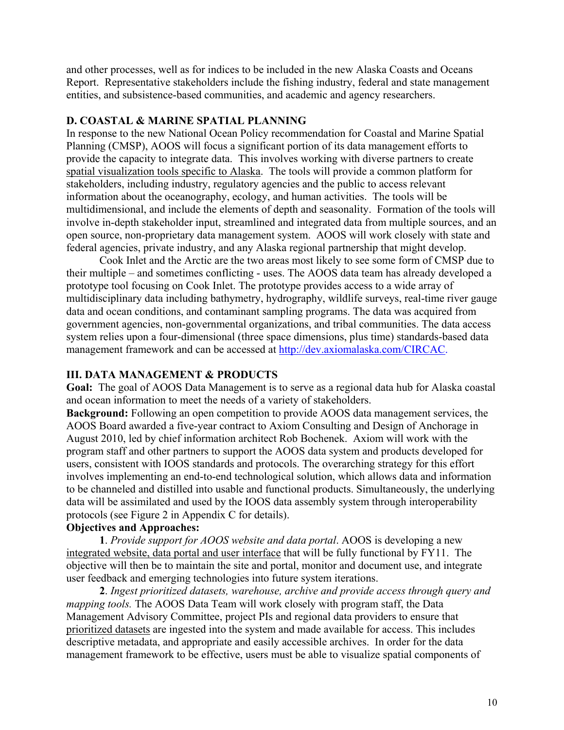and other processes, well as for indices to be included in the new Alaska Coasts and Oceans Report. Representative stakeholders include the fishing industry, federal and state management entities, and subsistence-based communities, and academic and agency researchers.

#### **D. COASTAL & MARINE SPATIAL PLANNING**

In response to the new National Ocean Policy recommendation for Coastal and Marine Spatial Planning (CMSP), AOOS will focus a significant portion of its data management efforts to provide the capacity to integrate data. This involves working with diverse partners to create spatial visualization tools specific to Alaska. The tools will provide a common platform for stakeholders, including industry, regulatory agencies and the public to access relevant information about the oceanography, ecology, and human activities. The tools will be multidimensional, and include the elements of depth and seasonality. Formation of the tools will involve in-depth stakeholder input, streamlined and integrated data from multiple sources, and an open source, non-proprietary data management system. AOOS will work closely with state and federal agencies, private industry, and any Alaska regional partnership that might develop.

Cook Inlet and the Arctic are the two areas most likely to see some form of CMSP due to their multiple – and sometimes conflicting - uses. The AOOS data team has already developed a prototype tool focusing on Cook Inlet. The prototype provides access to a wide array of multidisciplinary data including bathymetry, hydrography, wildlife surveys, real-time river gauge data and ocean conditions, and contaminant sampling programs. The data was acquired from government agencies, non-governmental organizations, and tribal communities. The data access system relies upon a four-dimensional (three space dimensions, plus time) standards-based data management framework and can be accessed at <http://dev.axiomalaska.com/CIRCAC>.

## **III. DATA MANAGEMENT & PRODUCTS**

**Goal:** The goal of AOOS Data Management is to serve as a regional data hub for Alaska coastal and ocean information to meet the needs of a variety of stakeholders.

**Background:** Following an open competition to provide AOOS data management services, the AOOS Board awarded a five-year contract to Axiom Consulting and Design of Anchorage in August 2010, led by chief information architect Rob Bochenek. Axiom will work with the program staff and other partners to support the AOOS data system and products developed for users, consistent with IOOS standards and protocols. The overarching strategy for this effort involves implementing an end-to-end technological solution, which allows data and information to be channeled and distilled into usable and functional products. Simultaneously, the underlying data will be assimilated and used by the IOOS data assembly system through interoperability protocols (see Figure 2 in Appendix C for details).

## **Objectives and Approaches:**

**1**. *Provide support for AOOS website and data portal*. AOOS is developing a new integrated website, data portal and user interface that will be fully functional by FY11. The objective will then be to maintain the site and portal, monitor and document use, and integrate user feedback and emerging technologies into future system iterations.

**2**. *Ingest prioritized datasets, warehouse, archive and provide access through query and mapping tools.* The AOOS Data Team will work closely with program staff, the Data Management Advisory Committee, project PIs and regional data providers to ensure that prioritized datasets are ingested into the system and made available for access. This includes descriptive metadata, and appropriate and easily accessible archives. In order for the data management framework to be effective, users must be able to visualize spatial components of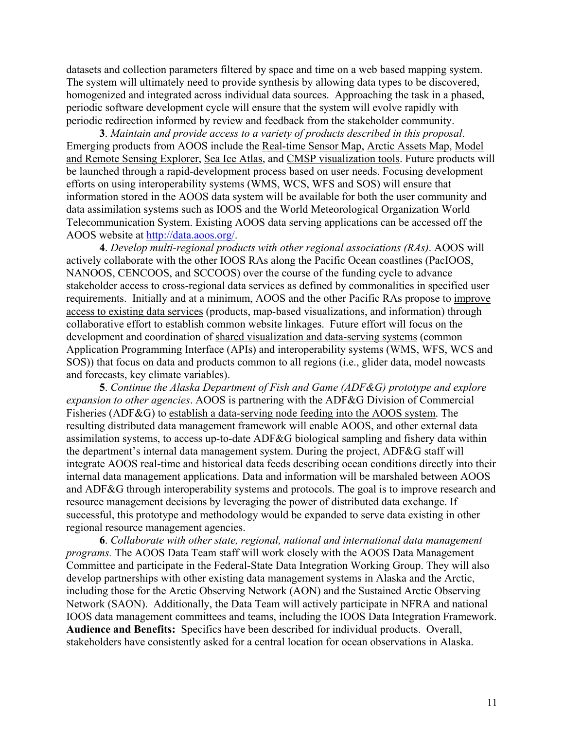datasets and collection parameters filtered by space and time on a web based mapping system. The system will ultimately need to provide synthesis by allowing data types to be discovered, homogenized and integrated across individual data sources. Approaching the task in a phased, periodic software development cycle will ensure that the system will evolve rapidly with periodic redirection informed by review and feedback from the stakeholder community.

**3**. *Maintain and provide access to a variety of products described in this proposal*. Emerging products from AOOS include the Real-time Sensor Map, Arctic Assets Map, Model and Remote Sensing Explorer, Sea Ice Atlas, and CMSP visualization tools. Future products will be launched through a rapid-development process based on user needs. Focusing development efforts on using interoperability systems (WMS, WCS, WFS and SOS) will ensure that information stored in the AOOS data system will be available for both the user community and data assimilation systems such as IOOS and the World Meteorological Organization World Telecommunication System. Existing AOOS data serving applications can be accessed off the AOOS website at<http://data.aoos.org/>.

**4**. *Develop multi-regional products with other regional associations (RAs)*. AOOS will actively collaborate with the other IOOS RAs along the Pacific Ocean coastlines (PacIOOS, NANOOS, CENCOOS, and SCCOOS) over the course of the funding cycle to advance stakeholder access to cross-regional data services as defined by commonalities in specified user requirements. Initially and at a minimum, AOOS and the other Pacific RAs propose to improve access to existing data services (products, map-based visualizations, and information) through collaborative effort to establish common website linkages. Future effort will focus on the development and coordination of shared visualization and data-serving systems (common Application Programming Interface (APIs) and interoperability systems (WMS, WFS, WCS and SOS)) that focus on data and products common to all regions (i.e., glider data, model nowcasts and forecasts, key climate variables).

**5**. *Continue the Alaska Department of Fish and Game (ADF&G) prototype and explore expansion to other agencies*. AOOS is partnering with the ADF&G Division of Commercial Fisheries (ADF&G) to establish a data-serving node feeding into the AOOS system. The resulting distributed data management framework will enable AOOS, and other external data assimilation systems, to access up-to-date ADF&G biological sampling and fishery data within the department's internal data management system. During the project, ADF&G staff will integrate AOOS real-time and historical data feeds describing ocean conditions directly into their internal data management applications. Data and information will be marshaled between AOOS and ADF&G through interoperability systems and protocols. The goal is to improve research and resource management decisions by leveraging the power of distributed data exchange. If successful, this prototype and methodology would be expanded to serve data existing in other regional resource management agencies.

**6**. *Collaborate with other state, regional, national and international data management programs.* The AOOS Data Team staff will work closely with the AOOS Data Management Committee and participate in the Federal-State Data Integration Working Group. They will also develop partnerships with other existing data management systems in Alaska and the Arctic, including those for the Arctic Observing Network (AON) and the Sustained Arctic Observing Network (SAON). Additionally, the Data Team will actively participate in NFRA and national IOOS data management committees and teams, including the IOOS Data Integration Framework. **Audience and Benefits:** Specifics have been described for individual products. Overall, stakeholders have consistently asked for a central location for ocean observations in Alaska.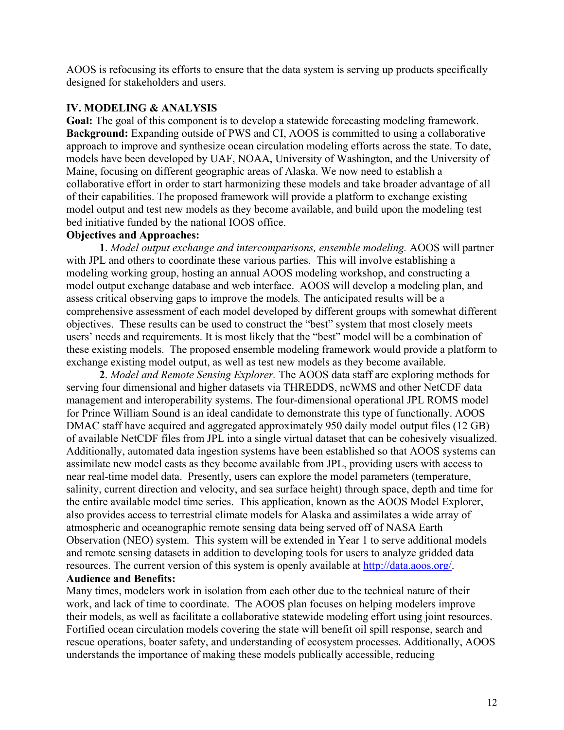AOOS is refocusing its efforts to ensure that the data system is serving up products specifically designed for stakeholders and users.

## **IV. MODELING & ANALYSIS**

**Goal:** The goal of this component is to develop a statewide forecasting modeling framework. **Background:** Expanding outside of PWS and CI, AOOS is committed to using a collaborative approach to improve and synthesize ocean circulation modeling efforts across the state. To date, models have been developed by UAF, NOAA, University of Washington, and the University of Maine, focusing on different geographic areas of Alaska. We now need to establish a collaborative effort in order to start harmonizing these models and take broader advantage of all of their capabilities. The proposed framework will provide a platform to exchange existing model output and test new models as they become available, and build upon the modeling test bed initiative funded by the national IOOS office.

## **Objectives and Approaches:**

**1**. *Model output exchange and intercomparisons, ensemble modeling.* AOOS will partner with JPL and others to coordinate these various parties. This will involve establishing a modeling working group, hosting an annual AOOS modeling workshop, and constructing a model output exchange database and web interface. AOOS will develop a modeling plan, and assess critical observing gaps to improve the models*.* The anticipated results will be a comprehensive assessment of each model developed by different groups with somewhat different objectives. These results can be used to construct the "best" system that most closely meets users' needs and requirements. It is most likely that the "best" model will be a combination of these existing models. The proposed ensemble modeling framework would provide a platform to exchange existing model output, as well as test new models as they become available.

**2**. *Model and Remote Sensing Explorer.* The AOOS data staff are exploring methods for serving four dimensional and higher datasets via THREDDS, ncWMS and other NetCDF data management and interoperability systems. The four-dimensional operational JPL ROMS model for Prince William Sound is an ideal candidate to demonstrate this type of functionally. AOOS DMAC staff have acquired and aggregated approximately 950 daily model output files (12 GB) of available NetCDF files from JPL into a single virtual dataset that can be cohesively visualized. Additionally, automated data ingestion systems have been established so that AOOS systems can assimilate new model casts as they become available from JPL, providing users with access to near real-time model data. Presently, users can explore the model parameters (temperature, salinity, current direction and velocity, and sea surface height) through space, depth and time for the entire available model time series. This application, known as the AOOS Model Explorer, also provides access to terrestrial climate models for Alaska and assimilates a wide array of atmospheric and oceanographic remote sensing data being served off of NASA Earth Observation (NEO) system. This system will be extended in Year 1 to serve additional models and remote sensing datasets in addition to developing tools for users to analyze gridded data resources. The current version of this system is openly available at <http://data.aoos.org/>.

## **Audience and Benefits:**

Many times, modelers work in isolation from each other due to the technical nature of their work, and lack of time to coordinate. The AOOS plan focuses on helping modelers improve their models, as well as facilitate a collaborative statewide modeling effort using joint resources. Fortified ocean circulation models covering the state will benefit oil spill response, search and rescue operations, boater safety, and understanding of ecosystem processes. Additionally, AOOS understands the importance of making these models publically accessible, reducing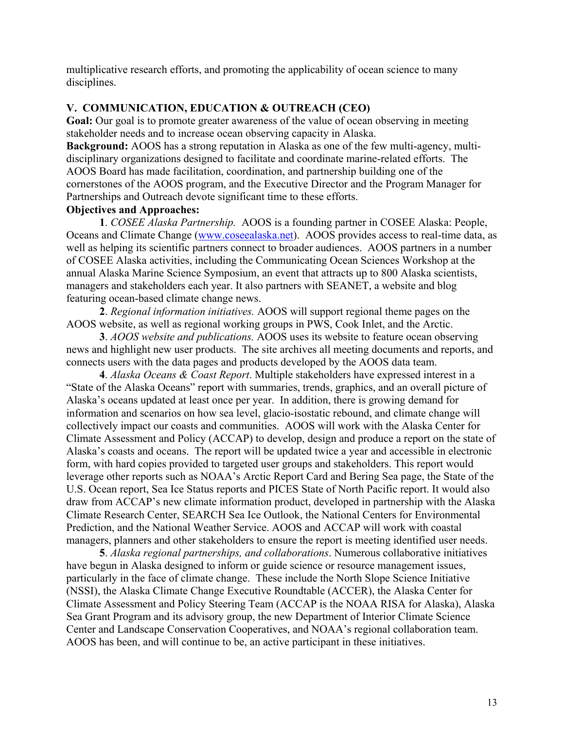multiplicative research efforts, and promoting the applicability of ocean science to many disciplines.

## **V. COMMUNICATION, EDUCATION & OUTREACH (CEO)**

**Goal:** Our goal is to promote greater awareness of the value of ocean observing in meeting stakeholder needs and to increase ocean observing capacity in Alaska.

**Background:** AOOS has a strong reputation in Alaska as one of the few multi-agency, multidisciplinary organizations designed to facilitate and coordinate marine-related efforts. The AOOS Board has made facilitation, coordination, and partnership building one of the cornerstones of the AOOS program, and the Executive Director and the Program Manager for Partnerships and Outreach devote significant time to these efforts.

# **Objectives and Approaches:**

**1**. *COSEE Alaska Partnership.* AOOS is a founding partner in COSEE Alaska: People, Oceans and Climate Change [\(www.coseealaska.net\)](http://www.coseealaska.net/). AOOS provides access to real-time data, as well as helping its scientific partners connect to broader audiences. AOOS partners in a number of COSEE Alaska activities, including the Communicating Ocean Sciences Workshop at the annual Alaska Marine Science Symposium, an event that attracts up to 800 Alaska scientists, managers and stakeholders each year. It also partners with SEANET, a website and blog featuring ocean-based climate change news.

**2**. *Regional information initiatives.* AOOS will support regional theme pages on the AOOS website, as well as regional working groups in PWS, Cook Inlet, and the Arctic.

**3**. *AOOS website and publications.* AOOS uses its website to feature ocean observing news and highlight new user products. The site archives all meeting documents and reports, and connects users with the data pages and products developed by the AOOS data team.

**4**. *Alaska Oceans & Coast Report*. Multiple stakeholders have expressed interest in a "State of the Alaska Oceans" report with summaries, trends, graphics, and an overall picture of Alaska's oceans updated at least once per year. In addition, there is growing demand for information and scenarios on how sea level, glacio-isostatic rebound, and climate change will collectively impact our coasts and communities. AOOS will work with the Alaska Center for Climate Assessment and Policy (ACCAP) to develop, design and produce a report on the state of Alaska's coasts and oceans. The report will be updated twice a year and accessible in electronic form, with hard copies provided to targeted user groups and stakeholders. This report would leverage other reports such as NOAA's Arctic Report Card and Bering Sea page, the State of the U.S. Ocean report, Sea Ice Status reports and PICES State of North Pacific report. It would also draw from ACCAP's new climate information product, developed in partnership with the Alaska Climate Research Center, SEARCH Sea Ice Outlook, the National Centers for Environmental Prediction, and the National Weather Service. AOOS and ACCAP will work with coastal managers, planners and other stakeholders to ensure the report is meeting identified user needs.

**5**. *Alaska regional partnerships, and collaborations*. Numerous collaborative initiatives have begun in Alaska designed to inform or guide science or resource management issues, particularly in the face of climate change. These include the North Slope Science Initiative (NSSI), the Alaska Climate Change Executive Roundtable (ACCER), the Alaska Center for Climate Assessment and Policy Steering Team (ACCAP is the NOAA RISA for Alaska), Alaska Sea Grant Program and its advisory group, the new Department of Interior Climate Science Center and Landscape Conservation Cooperatives, and NOAA's regional collaboration team. AOOS has been, and will continue to be, an active participant in these initiatives.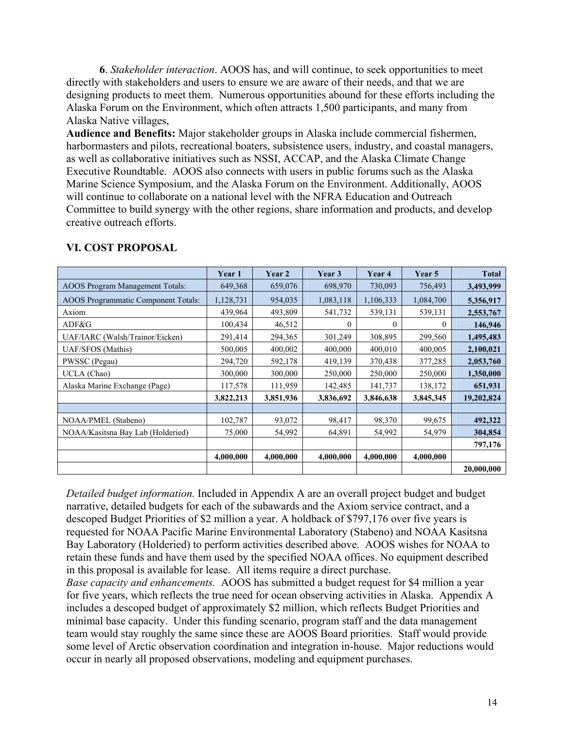**6**. *Stakeholder interaction*. AOOS has, and will continue, to seek opportunities to meet directly with stakeholders and users to ensure we are aware of their needs, and that we are designing products to meet them. Numerous opportunities abound for these efforts including the Alaska Forum on the Environment, which often attracts 1,500 participants, and many from Alaska Native villages,

**Audience and Benefits:** Major stakeholder groups in Alaska include commercial fishermen, harbormasters and pilots, recreational boaters, subsistence users, industry, and coastal managers, as well as collaborative initiatives such as NSSI, ACCAP, and the Alaska Climate Change Executive Roundtable. AOOS also connects with users in public forums such as the Alaska Marine Science Symposium, and the Alaska Forum on the Environment. Additionally, AOOS will continue to collaborate on a national level with the NFRA Education and Outreach Committee to build synergy with the other regions, share information and products, and develop creative outreach efforts.

|                                            | Year 1    | Year 2    | Year 3    | Year 4    | Year 5    | <b>Total</b> |
|--------------------------------------------|-----------|-----------|-----------|-----------|-----------|--------------|
| <b>AOOS</b> Program Management Totals:     | 649,368   | 659,076   | 698,970   | 730,093   | 756,493   | 3,493,999    |
| <b>AOOS</b> Programmatic Component Totals: | 1,128,731 | 954,035   | 1,083,118 | 1,106,333 | 1,084,700 | 5,356,917    |
| Axiom                                      | 439,964   | 493,809   | 541,732   | 539,131   | 539,131   | 2,553,767    |
| ADF&G                                      | 100,434   | 46,512    | $\theta$  | $\theta$  | $\theta$  | 146,946      |
| UAF/IARC (Walsh/Trainor/Eicken)            | 291,414   | 294,365   | 301,249   | 308,895   | 299,560   | 1,495,483    |
| UAF/SFOS (Mathis)                          | 500,005   | 400,002   | 400,000   | 400,010   | 400,005   | 2,100,021    |
| PWSSC (Pegau)                              | 294,720   | 592,178   | 419,139   | 370,438   | 377,285   | 2,053,760    |
| UCLA (Chao)                                | 300,000   | 300,000   | 250,000   | 250,000   | 250,000   | 1,350,000    |
| Alaska Marine Exchange (Page)              | 117,578   | 111,959   | 142,485   | 141,737   | 138,172   | 651,931      |
|                                            | 3,822,213 | 3,851,936 | 3,836,692 | 3,846,638 | 3,845,345 | 19,202,824   |
|                                            |           |           |           |           |           |              |
| NOAA/PMEL (Stabeno)                        | 102,787   | 93,072    | 98,417    | 98,370    | 99,675    | 492,322      |
| NOAA/Kasitsna Bay Lab (Holderied)          | 75,000    | 54,992    | 64,891    | 54,992    | 54,979    | 304,854      |
|                                            |           |           |           |           |           | 797,176      |
|                                            | 4,000,000 | 4,000,000 | 4,000,000 | 4,000,000 | 4,000,000 |              |
|                                            |           |           |           |           |           | 20,000,000   |

## **VI. COST PROPOSAL**

*Detailed budget information.* Included in Appendix A are an overall project budget and budget narrative, detailed budgets for each of the subawards and the Axiom service contract, and a descoped Budget Priorities of \$2 million a year. A holdback of \$797,176 over five years is requested for NOAA Pacific Marine Environmental Laboratory (Stabeno) and NOAA Kasitsna Bay Laboratory (Holderied) to perform activities described above. AOOS wishes for NOAA to retain these funds and have them used by the specified NOAA offices. No equipment described in this proposal is available for lease. All items require a direct purchase.

*Base capacity and enhancements.* AOOS has submitted a budget request for \$4 million a year for five years, which reflects the true need for ocean observing activities in Alaska. Appendix A includes a descoped budget of approximately \$2 million, which reflects Budget Priorities and minimal base capacity. Under this funding scenario, program staff and the data management team would stay roughly the same since these are AOOS Board priorities. Staff would provide some level of Arctic observation coordination and integration in-house. Major reductions would occur in nearly all proposed observations, modeling and equipment purchases.